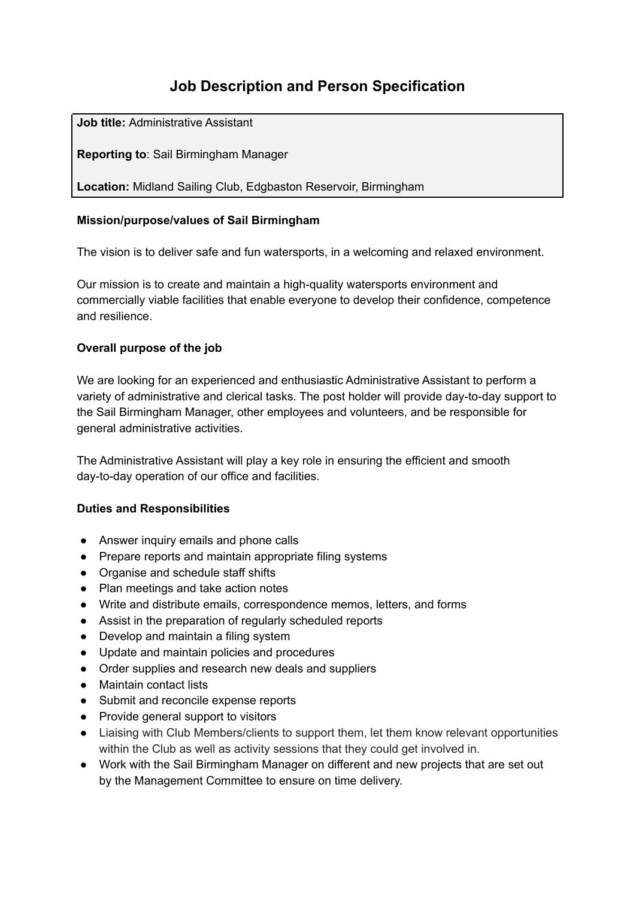# **Job Description and Person Specification**

**Job title:** Administrative Assistant

**Reporting to**: Sail Birmingham Manager

**Location:** Midland Sailing Club, Edgbaston Reservoir, Birmingham

## **Mission/purpose/values of Sail Birmingham**

The vision is to deliver safe and fun watersports, in a welcoming and relaxed environment.

Our mission is to create and maintain a high-quality watersports environment and commercially viable facilities that enable everyone to develop their confidence, competence and resilience.

# **Overall purpose of the job**

We are looking for an experienced and enthusiastic Administrative Assistant to perform a variety of administrative and clerical tasks. The post holder will provide day-to-day support to the Sail Birmingham Manager, other employees and volunteers, and be responsible for general administrative activities.

The Administrative Assistant will play a key role in ensuring the efficient and smooth day-to-day operation of our office and facilities.

### **Duties and Responsibilities**

- Answer inquiry emails and phone calls
- Prepare reports and maintain appropriate filing systems
- Organise and schedule staff shifts
- Plan meetings and take action notes
- Write and distribute emails, correspondence memos, letters, and forms
- Assist in the preparation of regularly scheduled reports
- Develop and maintain a filing system
- Update and maintain policies and procedures
- Order supplies and research new deals and suppliers
- Maintain contact lists
- Submit and reconcile expense reports
- Provide general support to visitors
- Liaising with Club Members/clients to support them, let them know relevant opportunities within the Club as well as activity sessions that they could get involved in.
- Work with the Sail Birmingham Manager on different and new projects that are set out by the Management Committee to ensure on time delivery.